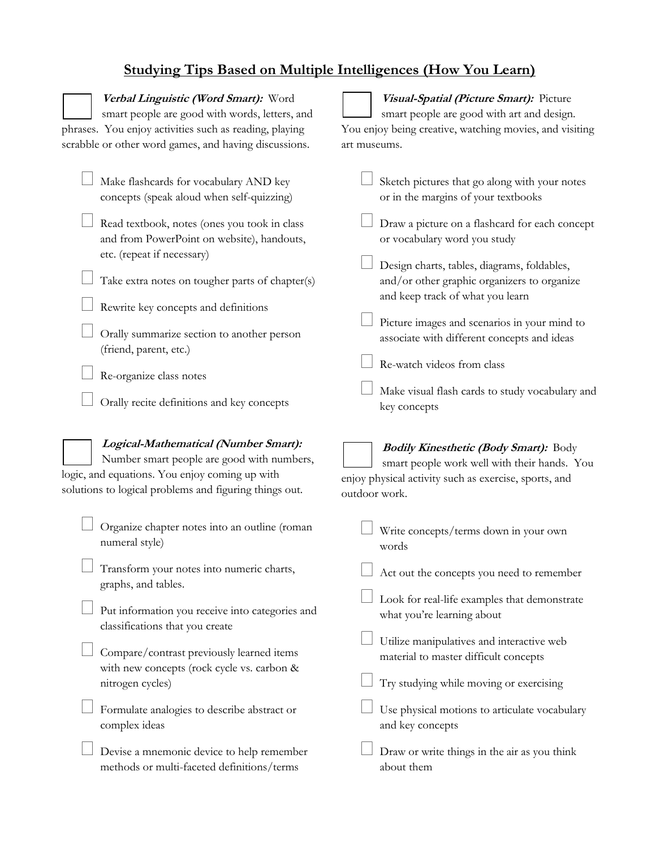## **Studying Tips Based on Multiple Intelligences (How You Learn)**

| Verbal Linguistic (Word Smart): Word<br>smart people are good with words, letters, and<br>phrases. You enjoy activities such as reading, playing<br>scrabble or other word games, and having discussions. | Visual-Spatial (Picture Smart): Picture<br>smart people are good with art and design.<br>You enjoy being creative, watching movies, and visiting<br>art museums.       |
|-----------------------------------------------------------------------------------------------------------------------------------------------------------------------------------------------------------|------------------------------------------------------------------------------------------------------------------------------------------------------------------------|
| Make flashcards for vocabulary AND key<br>concepts (speak aloud when self-quizzing)                                                                                                                       | Sketch pictures that go along with your notes<br>or in the margins of your textbooks                                                                                   |
| Read textbook, notes (ones you took in class<br>and from PowerPoint on website), handouts,<br>etc. (repeat if necessary)                                                                                  | Draw a picture on a flashcard for each concept<br>or vocabulary word you study                                                                                         |
| Take extra notes on tougher parts of chapter(s)                                                                                                                                                           | Design charts, tables, diagrams, foldables,<br>and/or other graphic organizers to organize<br>and keep track of what you learn                                         |
| Rewrite key concepts and definitions<br>Orally summarize section to another person<br>(friend, parent, etc.)                                                                                              | Picture images and scenarios in your mind to<br>associate with different concepts and ideas                                                                            |
| Re-organize class notes<br>Orally recite definitions and key concepts                                                                                                                                     | Re-watch videos from class<br>Make visual flash cards to study vocabulary and<br>key concepts                                                                          |
|                                                                                                                                                                                                           |                                                                                                                                                                        |
| Logical-Mathematical (Number Smart):<br>Number smart people are good with numbers,<br>logic, and equations. You enjoy coming up with<br>solutions to logical problems and figuring things out.            | <b>Bodily Kinesthetic (Body Smart):</b> Body<br>smart people work well with their hands. You<br>enjoy physical activity such as exercise, sports, and<br>outdoor work. |
| Organize chapter notes into an outline (roman<br>numeral style)                                                                                                                                           | Write concepts/terms down in your own<br>words                                                                                                                         |
| Transform your notes into numeric charts,<br>graphs, and tables.                                                                                                                                          | Act out the concepts you need to remember                                                                                                                              |
| Put information you receive into categories and<br>classifications that you create                                                                                                                        | Look for real-life examples that demonstrate<br>what you're learning about                                                                                             |
| Compare/contrast previously learned items<br>with new concepts (rock cycle vs. carbon &                                                                                                                   | Utilize manipulatives and interactive web<br>material to master difficult concepts                                                                                     |
| nitrogen cycles)<br>Formulate analogies to describe abstract or<br>complex ideas                                                                                                                          | Try studying while moving or exercising<br>Use physical motions to articulate vocabulary<br>and key concepts                                                           |